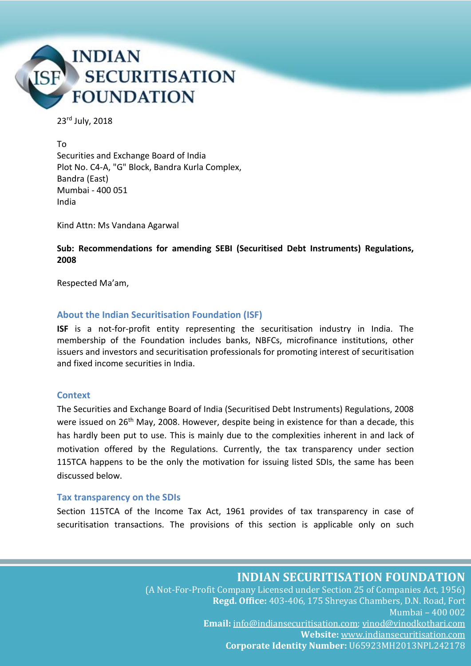

23rd July, 2018

To Securities and Exchange Board of India Plot No. C4-A, "G" Block, Bandra Kurla Complex, Bandra (East) Mumbai - 400 051 India

Kind Attn: Ms Vandana Agarwal

**Sub: Recommendations for amending SEBI (Securitised Debt Instruments) Regulations, 2008**

Respected Ma'am,

#### **About the Indian Securitisation Foundation (ISF)**

**ISF** is a not-for-profit entity representing the securitisation industry in India. The membership of the Foundation includes banks, NBFCs, microfinance institutions, other issuers and investors and securitisation professionals for promoting interest of securitisation and fixed income securities in India.

#### **Context**

The Securities and Exchange Board of India (Securitised Debt Instruments) Regulations, 2008 were issued on 26<sup>th</sup> May, 2008. However, despite being in existence for than a decade, this has hardly been put to use. This is mainly due to the complexities inherent in and lack of motivation offered by the Regulations. Currently, the tax transparency under section 115TCA happens to be the only the motivation for issuing listed SDIs, the same has been discussed below.

#### **Tax transparency on the SDIs**

Section 115TCA of the Income Tax Act, 1961 provides of tax transparency in case of securitisation transactions. The provisions of this section is applicable only on such

**INDIAN SECURITISATION FOUNDATION**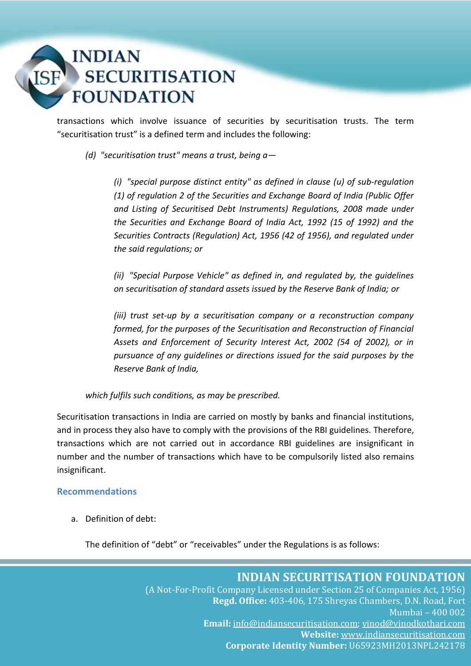# **INDIAN SECURITISATION FOUNDATION**

transactions which involve issuance of securities by securitisation trusts. The term "securitisation trust" is a defined term and includes the following:

*(d) "securitisation trust" means a trust, being a—*

*(i) "special purpose distinct entity" as defined in clause (u) of sub-regulation (1) of regulation 2 of the Securities and Exchange Board of India (Public Offer and Listing of Securitised Debt Instruments) Regulations, 2008 made under the Securities and Exchange Board of India Act, 1992 (15 of 1992) and the Securities Contracts (Regulation) Act, 1956 (42 of 1956), and regulated under the said regulations; or*

*(ii) "Special Purpose Vehicle" as defined in, and regulated by, the guidelines on securitisation of standard assets issued by the Reserve Bank of India; or*

*(iii) trust set-up by a securitisation company or a reconstruction company formed, for the purposes of the Securitisation and Reconstruction of Financial Assets and Enforcement of Security Interest Act, 2002 (54 of 2002), or in pursuance of any guidelines or directions issued for the said purposes by the Reserve Bank of India,*

*which fulfils such conditions, as may be prescribed.*

Securitisation transactions in India are carried on mostly by banks and financial institutions, and in process they also have to comply with the provisions of the RBI guidelines. Therefore, transactions which are not carried out in accordance RBI guidelines are insignificant in number and the number of transactions which have to be compulsorily listed also remains insignificant.

### **Recommendations**

a. Definition of debt:

The definition of "debt" or "receivables" under the Regulations is as follows: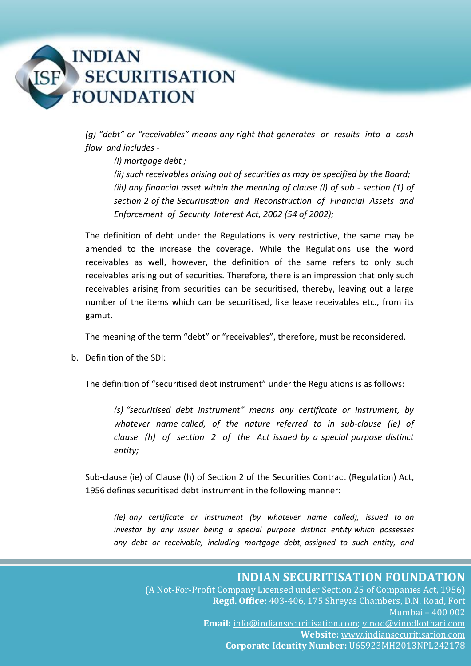

*(g) "debt" or "receivables" means any right that generates or results into a cash flow and includes -*

*(i) mortgage debt ;* 

*(ii) such receivables arising out of securities as may be specified by the Board; (iii) any financial asset within the meaning of clause (l) of sub - section (1) of section 2 of the Securitisation and Reconstruction of Financial Assets and Enforcement of Security Interest Act, 2002 (54 of 2002);*

The definition of debt under the Regulations is very restrictive, the same may be amended to the increase the coverage. While the Regulations use the word receivables as well, however, the definition of the same refers to only such receivables arising out of securities. Therefore, there is an impression that only such receivables arising from securities can be securitised, thereby, leaving out a large number of the items which can be securitised, like lease receivables etc., from its gamut.

The meaning of the term "debt" or "receivables", therefore, must be reconsidered.

b. Definition of the SDI:

The definition of "securitised debt instrument" under the Regulations is as follows:

*(s) "securitised debt instrument" means any certificate or instrument, by whatever name called, of the nature referred to in sub-clause (ie) of clause (h) of section 2 of the Act issued by a special purpose distinct entity;*

Sub-clause (ie) of Clause (h) of Section 2 of the Securities Contract (Regulation) Act, 1956 defines securitised debt instrument in the following manner:

*(ie) any certificate or instrument (by whatever name called), issued to an investor by any issuer being a special purpose distinct entity which possesses any debt or receivable, including mortgage debt, assigned to such entity, and* 

## **INDIAN SECURITISATION FOUNDATION**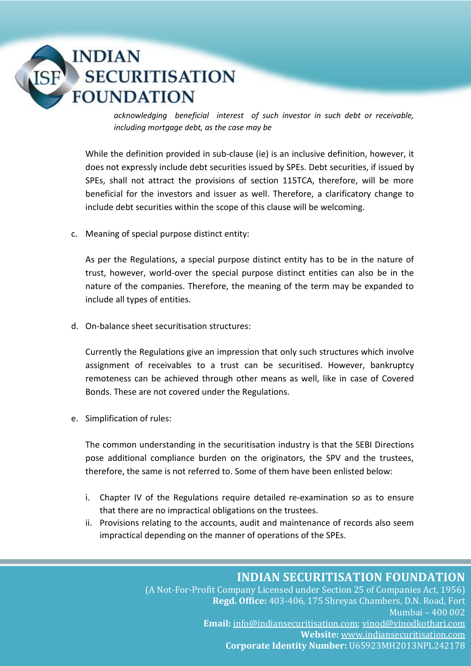# **INDIAN SECURITISATION FOUNDATION**

*acknowledging beneficial interest of such investor in such debt or receivable, including mortgage debt, as the case may be*

While the definition provided in sub-clause (ie) is an inclusive definition, however, it does not expressly include debt securities issued by SPEs. Debt securities, if issued by SPEs, shall not attract the provisions of section 115TCA, therefore, will be more beneficial for the investors and issuer as well. Therefore, a clarificatory change to include debt securities within the scope of this clause will be welcoming.

c. Meaning of special purpose distinct entity:

As per the Regulations, a special purpose distinct entity has to be in the nature of trust, however, world-over the special purpose distinct entities can also be in the nature of the companies. Therefore, the meaning of the term may be expanded to include all types of entities.

d. On-balance sheet securitisation structures:

Currently the Regulations give an impression that only such structures which involve assignment of receivables to a trust can be securitised. However, bankruptcy remoteness can be achieved through other means as well, like in case of Covered Bonds. These are not covered under the Regulations.

e. Simplification of rules:

The common understanding in the securitisation industry is that the SEBI Directions pose additional compliance burden on the originators, the SPV and the trustees, therefore, the same is not referred to. Some of them have been enlisted below:

- i. Chapter IV of the Regulations require detailed re-examination so as to ensure that there are no impractical obligations on the trustees.
- ii. Provisions relating to the accounts, audit and maintenance of records also seem impractical depending on the manner of operations of the SPEs.

## **INDIAN SECURITISATION FOUNDATION**